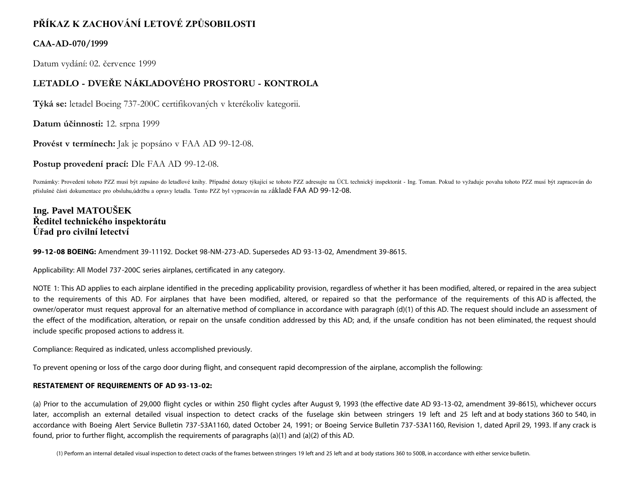# **PŘÍKAZ K ZACHOVÁNÍ LETOVÉ ZPŮSOBILOSTI**

## **CAA-AD-070/1999**

Datum vydání: 02. července 1999

# **LETADLO - DVEŘE NÁKLADOVÉHO PROSTORU - KONTROLA**

**Týká se:** letadel Boeing 737-200C certifikovaných v kterékoliv kategorii.

**Datum účinnosti:** 12. srpna 1999

**Provést v termínech:** Jak je popsáno v FAA AD 99-12-08.

**Postup provedení prací:** Dle FAA AD 99-12-08.

Poznámky: Provedení tohoto PZZ musí být zapsáno do letadlové knihy. Případné dotazy týkající se tohoto PZZ adresujte na ÚCL technický inspektorát - Ing. Toman. Pokud to vyžaduje povaha tohoto PZZ musí být zapracován do příslušné části dokumentace pro obsluhu,údržbu a opravy letadla. Tento PZZ byl vypracován na základě FAA AD 99-12-08.

## **Ing. Pavel MATOUŠEK Ředitel technického inspektorátu Úřad pro civilní letectví**

**99-12-08 BOEING:** Amendment 39-11192. Docket 98-NM-273-AD. Supersedes AD 93-13-02, Amendment 39-8615.

Applicability: All Model 737-200C series airplanes, certificated in any category.

NOTE 1: This AD applies to each airplane identified in the preceding applicability provision, regardless of whether it has been modified, altered, or repaired in the area subject to the requirements of this AD. For airplanes that have been modified, altered, or repaired so that the performance of the requirements of this AD is affected, the owner/operator must request approval for an alternative method of compliance in accordance with paragraph (d)(1) of this AD. The request should include an assessment of the effect of the modification, alteration, or repair on the unsafe condition addressed by this AD; and, if the unsafe condition has not been eliminated, the request should include specific proposed actions to address it.

Compliance: Required as indicated, unless accomplished previously.

To prevent opening or loss of the cargo door during flight, and consequent rapid decompression of the airplane, accomplish the following:

## **RESTATEMENT OF REQUIREMENTS OF AD 93-13-02:**

(a) Prior to the accumulation of 29,000 flight cycles or within 250 flight cycles after August 9, 1993 (the effective date AD 93-13-02, amendment 39-8615), whichever occurs later, accomplish an external detailed visual inspection to detect cracks of the fuselage skin between stringers 19 left and 25 left and at body stations 360 to 540, in accordance with Boeing Alert Service Bulletin 737-53A1160, dated October 24, 1991; or Boeing Service Bulletin 737-53A1160, Revision 1, dated April 29, 1993. If any crack is found, prior to further flight, accomplish the requirements of paragraphs (a)(1) and (a)(2) of this AD.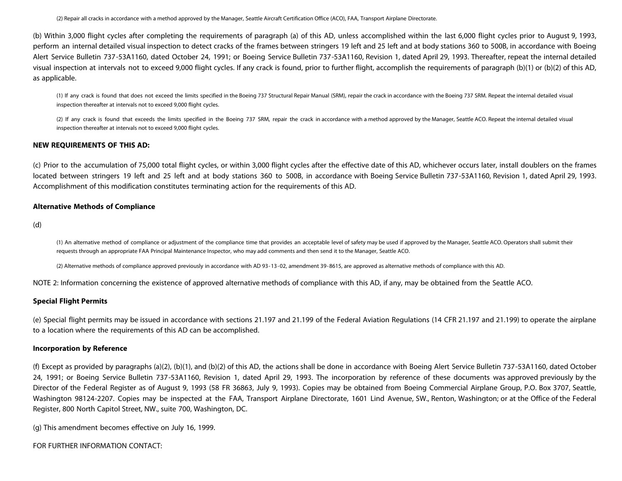(2) Repair all cracks in accordance with a method approved by the Manager, Seattle Aircraft Certification Office (ACO), FAA, Transport Airplane Directorate.

(b) Within 3,000 flight cycles after completing the requirements of paragraph (a) of this AD, unless accomplished within the last 6,000 flight cycles prior to August 9, 1993, perform an internal detailed visual inspection to detect cracks of the frames between stringers 19 left and 25 left and at body stations 360 to 500B, in accordance with Boeing Alert Service Bulletin 737-53A1160, dated October 24, 1991; or Boeing Service Bulletin 737-53A1160, Revision 1, dated April 29, 1993. Thereafter, repeat the internal detailed visual inspection at intervals not to exceed 9,000 flight cycles. If any crack is found, prior to further flight, accomplish the requirements of paragraph (b)(1) or (b)(2) of this AD, as applicable.

(1) If any crack is found that does not exceed the limits specified in the Boeing 737 Structural Repair Manual (SRM), repair the crack in accordance with the Boeing 737 SRM. Repeat the internal detailed visual inspection thereafter at intervals not to exceed 9,000 flight cycles.

(2) If any crack is found that exceeds the limits specified in the Boeing 737 SRM, repair the crack in accordance with a method approved by the Manager, Seattle ACO. Repeat the internal detailed visual inspection thereafter at intervals not to exceed 9,000 flight cycles.

## **NEW REQUIREMENTS OF THIS AD:**

(c) Prior to the accumulation of 75,000 total flight cycles, or within 3,000 flight cycles after the effective date of this AD, whichever occurs later, install doublers on the frames located between stringers 19 left and 25 left and at body stations 360 to 500B, in accordance with Boeing Service Bulletin 737-53A1160, Revision 1, dated April 29, 1993. Accomplishment of this modification constitutes terminating action for the requirements of this AD.

## **Alternative Methods of Compliance**

(d)

(1) An alternative method of compliance or adjustment of the compliance time that provides an acceptable level of safety may be used if approved by the Manager, Seattle ACO. Operators shall submit their requests through an appropriate FAA Principal Maintenance Inspector, who may add comments and then send it to the Manager, Seattle ACO.

(2) Alternative methods of compliance approved previously in accordance with AD 93-13-02, amendment 39-8615, are approved as alternative methods of compliance with this AD.

NOTE 2: Information concerning the existence of approved alternative methods of compliance with this AD, if any, may be obtained from the Seattle ACO.

## **Special Flight Permits**

(e) Special flight permits may be issued in accordance with sections 21.197 and 21.199 of the Federal Aviation Regulations (14 CFR 21.197 and 21.199) to operate the airplane to a location where the requirements of this AD can be accomplished.

## **Incorporation by Reference**

(f) Except as provided by paragraphs (a)(2), (b)(1), and (b)(2) of this AD, the actions shall be done in accordance with Boeing Alert Service Bulletin 737-53A1160, dated October 24, 1991; or Boeing Service Bulletin 737-53A1160, Revision 1, dated April 29, 1993. The incorporation by reference of these documents was approved previously by the Director of the Federal Register as of August 9, 1993 (58 FR 36863, July 9, 1993). Copies may be obtained from Boeing Commercial Airplane Group, P.O. Box 3707, Seattle, Washington 98124-2207. Copies may be inspected at the FAA, Transport Airplane Directorate, 1601 Lind Avenue, SW., Renton, Washington; or at the Office of the Federal Register, 800 North Capitol Street, NW., suite 700, Washington, DC.

(g) This amendment becomes effective on July 16, 1999.

FOR FURTHER INFORMATION CONTACT: